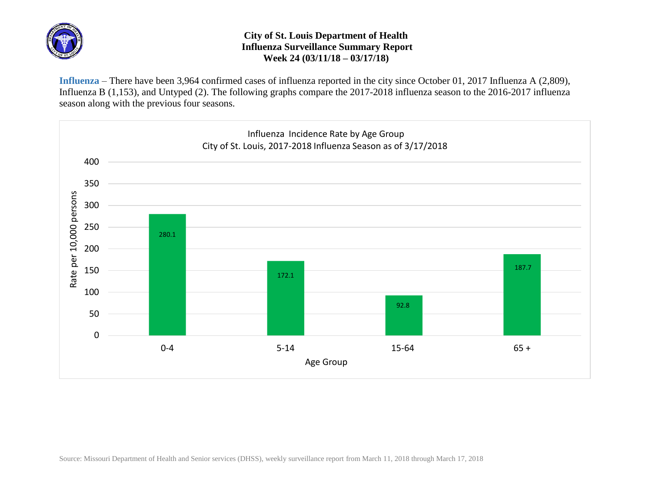

## **City of St. Louis Department of Health Influenza Surveillance Summary Report Week 24 (03/11/18 – 03/17/18)**

**Influenza** – There have been 3,964 confirmed cases of influenza reported in the city since October 01, 2017 Influenza A (2,809), Influenza B (1,153), and Untyped (2). The following graphs compare the 2017-2018 influenza season to the 2016-2017 influenza season along with the previous four seasons.